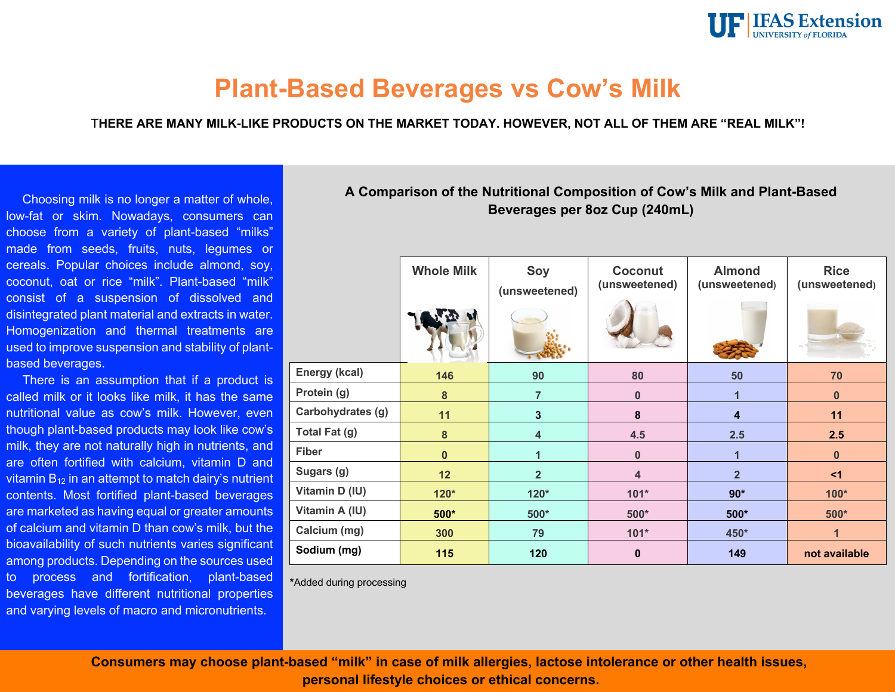

# **Plant-Based Beverages vs Cow's Milk**

T**HERE ARE MANY MILK-LIKE PRODUCTS ON THE MARKET TODAY. HOWEVER, NOT ALL OF THEM ARE "REAL MILK"!**

Choosing milk is no longer a matter of whole, low-fat or skim. Nowadays, consumers can choose from a variety of plant-based "milks" made from seeds, fruits, nuts, legumes or cereals. Popular choices include almond, soy, coconut, oat or rice "milk". Plant-based "milk" consist of a suspension of dissolved and disintegrated plant material and extracts in water. Homogenization and thermal treatments are used to improve suspension and stability of plantbased beverages.

There is an assumption that if a product is called milk or it looks like milk, it has the same nutritional value as cow's milk. However, even though plant-based products may look like cow's milk, they are not naturally high in nutrients, and are often fortified with calcium, vitamin D and vitamin  $B_{12}$  in an attempt to match dairy's nutrient contents. Most fortified plant-based beverages are marketed as having equal or greater amounts of calcium and vitamin D than cow's milk, but the bioavailability of such nutrients varies significant among products. Depending on the sources used to process and fortification, plant-based beverages have different nutritional properties and varying levels of macro and micronutrients.

## **A Comparison of the Nutritional Composition of Cow's Milk and Plant-Based Beverages per 8oz Cup (240mL)**

|                   | <b>Whole Milk</b> | Soy<br>(unsweetened)    | Coconut<br>(unsweetened) | <b>Almond</b><br>(unsweetened) | <b>Rice</b><br>(unsweetened) |
|-------------------|-------------------|-------------------------|--------------------------|--------------------------------|------------------------------|
| Energy (kcal)     | 146               | 90                      | 80                       | 50                             | 70                           |
| Protein (g)       | $\bf 8$           | $\overline{7}$          | 0                        |                                | $\bf{0}$                     |
| Carbohydrates (g) | 11                | $\overline{\mathbf{3}}$ | 8                        | 4                              | 11                           |
| Total Fat (g)     | $\bf{8}$          | $\overline{\mathbf{4}}$ | 4.5                      | 2.5                            | 2.5                          |
| <b>Fiber</b>      | $\mathbf{0}$      |                         | 0                        |                                | $\mathbf{0}$                 |
| Sugars (g)        | 12                | $\overline{2}$          | 4                        | $\overline{2}$                 | <1                           |
| Vitamin D (IU)    | $120*$            | $120*$                  | $101*$                   | $90*$                          | $100*$                       |
| Vitamin A (IU)    | $500*$            | $500*$                  | $500*$                   | $500*$                         | $500*$                       |
| Calcium (mg)      | 300               | 79                      | $101*$                   | 450*                           |                              |
| Sodium (mg)       | 115               | 120                     | $\bf{0}$                 | 149                            | not available                |

**\***Added during processing

**Consumers may choose plant-based "milk" in case of milk allergies, lactose intolerance or other health issues, personal lifestyle choices or ethical concerns.**